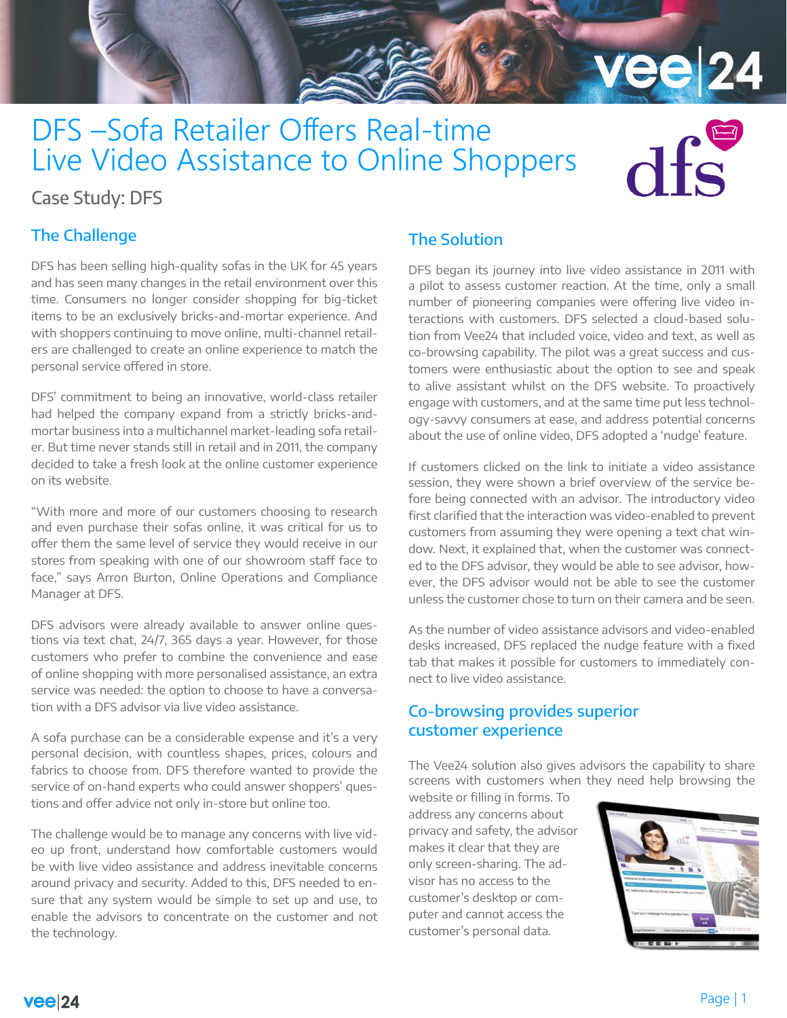# DFS –Sofa Retailer Offers Real-time Live Video Assistance to Online Shoppers

# Case Study: DFS

## The Challenge

DFS has been selling high-quality sofas in the UK for 45 years and has seen many changes in the retail environment over this time. Consumers no longer consider shopping for big-ticket items to be an exclusively bricks-and-mortar experience. And with shoppers continuing to move online, multi-channel retailers are challenged to create an online experience to match the personal service offered in store.

DFS' commitment to being an innovative, world-class retailer had helped the company expand from a strictly bricks-andmortar business into a multichannel market-leading sofa retailer. But time never stands still in retail and in 2011, the company decided to take a fresh look at the online customer experience on its website.

"With more and more of our customers choosing to research and even purchase their sofas online, it was critical for us to offer them the same level of service they would receive in our stores from speaking with one of our showroom staff face to face," says Arron Burton, Online Operations and Compliance Manager at DFS.

DFS advisors were already available to answer online questions via text chat, 24/7, 365 days a year. However, for those customers who prefer to combine the convenience and ease of online shopping with more personalised assistance, an extra service was needed: the option to choose to have a conversation with a DFS advisor via live video assistance.

A sofa purchase can be a considerable expense and it's a very personal decision, with countless shapes, prices, colours and fabrics to choose from. DFS therefore wanted to provide the service of on-hand experts who could answer shoppers' questions and offer advice not only in-store but online too.

The challenge would be to manage any concerns with live video up front, understand how comfortable customers would be with live video assistance and address inevitable concerns around privacy and security. Added to this, DFS needed to ensure that any system would be simple to set up and use, to enable the advisors to concentrate on the customer and not the technology.

## The Solution

DFS began its journey into live video assistance in 2011 with a pilot to assess customer reaction. At the time, only a small number of pioneering companies were offering live video interactions with customers. DFS selected a cloud-based solution from Vee24 that included voice, video and text, as well as co-browsing capability. The pilot was a great success and customers were enthusiastic about the option to see and speak to alive assistant whilst on the DFS website. To proactively engage with customers, and at the same time put less technology-savvy consumers at ease, and address potential concerns about the use of online video, DFS adopted a 'nudge' feature.

**vee 24** 

 $d$ fc

If customers clicked on the link to initiate a video assistance session, they were shown a brief overview of the service before being connected with an advisor. The introductory video first clarified that the interaction was video-enabled to prevent customers from assuming they were opening a text chat window. Next, it explained that, when the customer was connected to the DFS advisor, they would be able to see advisor, however, the DFS advisor would not be able to see the customer unless the customer chose to turn on their camera and be seen.

As the number of video assistance advisors and video-enabled desks increased, DFS replaced the nudge feature with a fixed tab that makes it possible for customers to immediately connect to live video assistance.

#### Co-browsing provides superior customer experience

The Vee24 solution also gives advisors the capability to share screens with customers when they need help browsing the

website or filling in forms. To address any concerns about privacy and safety, the advisor makes it clear that they are only screen-sharing. The advisor has no access to the customer's desktop or computer and cannot access the customer's personal data.